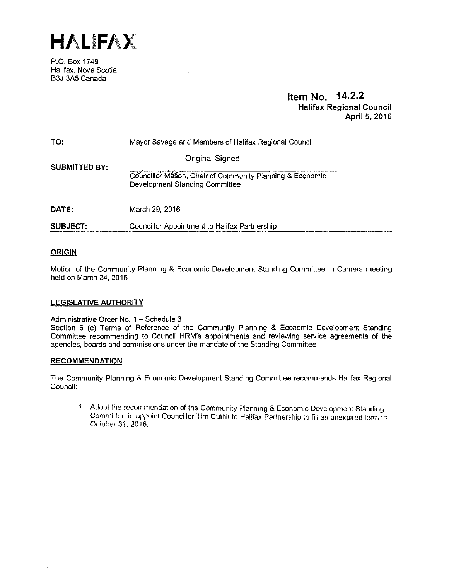

P.O. Box 1749 Halifax, Nova Scotia B3J 3A5 Canada

# **Item No. 14.2.2 Halifax Regional Council April 5, 2016**

| TO:                  | Mayor Savage and Members of Halifax Regional Council                                       |
|----------------------|--------------------------------------------------------------------------------------------|
| <b>SUBMITTED BY:</b> | <b>Original Signed</b>                                                                     |
|                      | Councillor Mason, Chair of Community Planning & Economic<br>Development Standing Committee |
| DATE:                | March 29, 2016                                                                             |

**SUBJECT:**  Councillor Appointment to Halifax Partnership

# **ORIGIN**

Motion of the Community Planning & Economic Development Standing Committee In Camera meeting held on March 24, 2016

# **LEGISLATIVE AUTHORITY**

Administrative Order No. 1 - Schedule 3

Section 6 (c) Terms of Reference of the Community Planning & Economic Development Standing Committee recommending to Council HRM's appointments and reviewing service agreements of the agencies, boards and commissions under the mandate of the Standing Committee

# **RECOMMENDATION**

The Community Planning & Economic Development Standing Committee recommends Halifax Regional Council:

1. Adopt the recommendation of the Community Planning & Economic Development Standing Committee to appoint Councillor Tim Outhit to Halifax Partnership to fill an unexpired term to October 31, 2016.